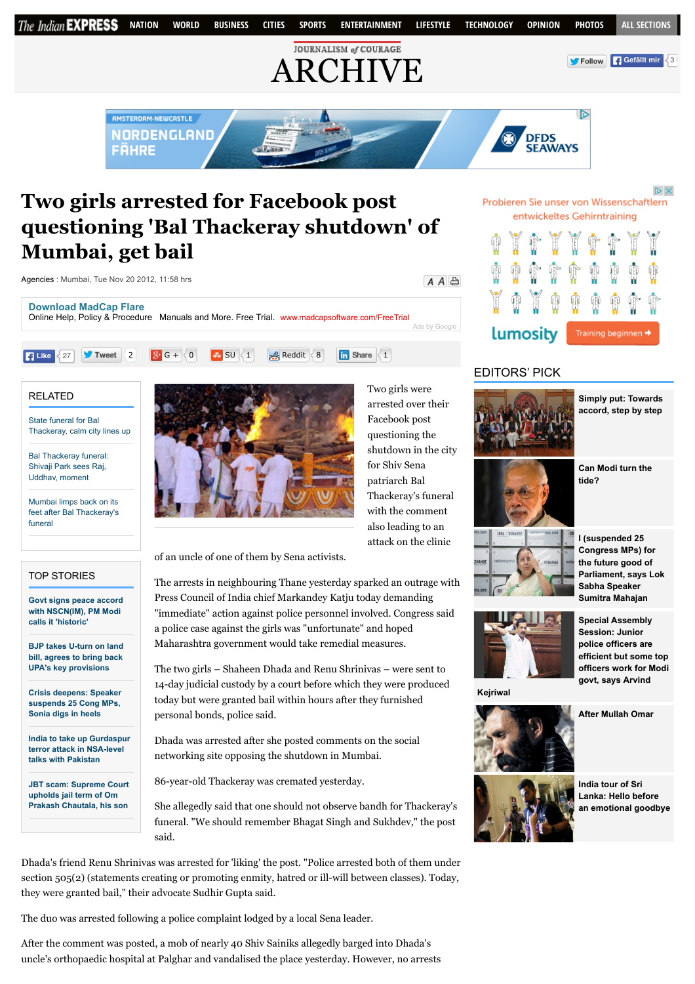

# **Two girls arrested for Facebook post questioning 'Bal Thackeray shutdown' of Mumbai, get bail**



#### RELATED

State funeral for Bal [Thackeray, calm city lines up](http://archive.indianexpress.com/news/state-funeral-for-bal-thackeray-calm-city-lines-up/1032864/)

```
Bal Thackeray funeral:
Shivaji Park sees Raj,
Uddhav, moment
```
Mumbai limps back on its [feet after Bal Thackeray's](http://archive.indianexpress.com/news/mumbai-limps-back-on-its-feet-after-bal-thackerays-funeral/1033150/) funeral

#### TOP STORIES

**[Govt signs peace accord](http://indianexpress.com/article/india/india-others/govt-signs-peace-accord-with-nscnim-pm-narendra-modi-says-historic/) with NSCN(IM), PM Modi calls it 'historic'**

**[BJP takes U-turn on land](http://indianexpress.com/article/india/india-others/bjp-takes-u-turn-on-land-bill-agrees-to-bring-back-upas-key-provisions/) bill, agrees to bring back UPA's key provisions**

**[Crisis deepens: Speaker](http://indianexpress.com/article/india/politics/black-day-for-democracy-sonia-gandhi-on-suspension-of-25-cong-mps/) suspends 25 Cong MPs, Sonia digs in heels**

**[India to take up Gurdaspur](http://indianexpress.com/article/india/india-others/india-pakistan-nsa-talks-india-to-take-up-gurdaspur-terror-attack/) terror attack in NSA-level talks with Pakistan**

**[JBT scam: Supreme Court](http://indianexpress.com/article/india/india-others/jbt-scam-supreme-court-upholds-jail-term-of-om-prakash-chautala-his-son/) upholds jail term of Om Prakash Chautala, his son**



Two girls were arrested over their Facebook post questioning the shutdown in the city for Shiv Sena patriarch Bal Thackeray's funeral with the comment also leading to an attack on the clinic

of an uncle of one of them by Sena activists.

The arrests in neighbouring Thane yesterday sparked an outrage with Press Council of India chief Markandey Katju today demanding "immediate" action against police personnel involved. Congress said a police case against the girls was "unfortunate" and hoped Maharashtra government would take remedial measures.

The two girls – Shaheen Dhada and Renu Shrinivas – were sent to 14-day judicial custody by a court before which they were produced today but were granted bail within hours after they furnished personal bonds, police said.

Dhada was arrested after she posted comments on the social networking site opposing the shutdown in Mumbai.

86-year-old Thackeray was cremated yesterday.

She allegedly said that one should not observe bandh for Thackeray's funeral. "We should remember Bhagat Singh and Sukhdev," the post said.

Dhada's friend Renu Shrinivas was arrested for 'liking' the post. "Police arrested both of them under section 505(2) (statements creating or promoting enmity, hatred or ill-will between classes). Today, they were granted bail," their advocate Sudhir Gupta said.

The duo was arrested following a police complaint lodged by a local Sena leader.

After the comment was posted, a mob of nearly 40 Shiv Sainiks allegedly barged into Dhada's uncle's orthopaedic hospital at Palghar and vandalised the place yesterday. However, no arrests

## Probieren Sie unser von Wissenschaftlern entwickeltes Gehirntraining

| lumosity |  |  |  | Training beginnen → |  |  |  |  |
|----------|--|--|--|---------------------|--|--|--|--|

# EDITORS' PICK



**[Simply put: Towards](http://indianexpress.com/article/explained/simply-put-towards-accord-step-by-step/) accord, step by step**

**[Can Modi turn the](http://indianexpress.com/article/opinion/columns/can-modi-turn-the-tide/) tide?**







**Special Assembly Session: Junior police officers are efficient but some top [officers work for Modi](http://indianexpress.com/article/cities/delhi/special-assembly-session-junior-police-officers-are-efficient-but-some-top-officers-work-for-modi-govt-says-arvind-kejriwal/) govt, says Arvind**

**[After Mullah Omar](http://indianexpress.com/article/opinion/columns/after-mullah-omar/)**

**Kejriwal**





**India tour of Sri Lanka: Hello before [an emotional goodbye](http://indianexpress.com/article/sports/cricket/india-tour-of-sri-lanka-hello-before-an-emotional-goodbye/)**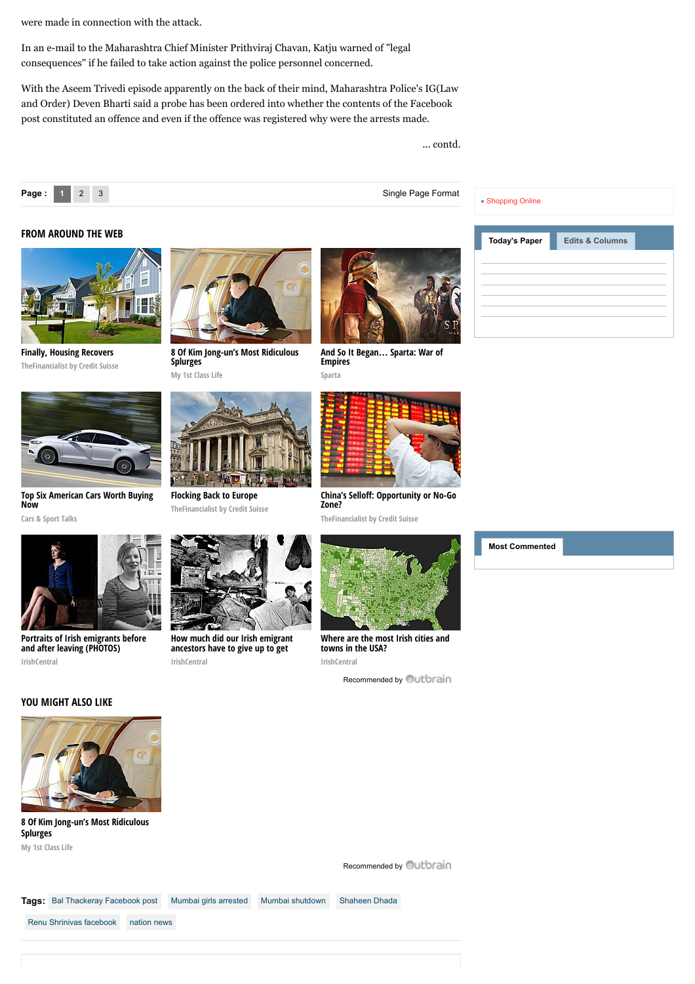were made in connection with the attack.

In an e-mail to the Maharashtra Chief Minister Prithviraj Chavan, Katju warned of "legal consequences" if he failed to take action against the police personnel concerned.

With the Aseem Trivedi episode apparently on the back of their mind, Maharashtra Police's IG(Law and Order) Deven Bharti said a probe has been ordered into whether the contents of the Facebook post constituted an offence and even if the offence was registered why were the arrests made.

... contd.



#### **FROM AROUND THE WEB**



**[Finally, Housing Recovers](http://www.thefinancialist.com/finally-housing-recovers/?utm_source=outbrain&utm_medium=cpc&utm_campaign=the_financialist_main_newer_content&utm_content=41225566&utm_term=5316898) TheFinancialist by Credit Suisse**



**[Top Six American Cars Worth Buying](http://fryerschat.com/top-six-american-cars-worth-buying-now/) Now**

**Cars & Sport Talks**



**[Portraits of Irish emigrants before](http://www.irishcentral.com/culture/entertainment/Portraits-of-Irish-immigrants-before-and-after-leaving-PHOTOS.html) and after leaving (PHOTOS) IrishCentral**



**[8 Of Kim Jong-un's Most Ridiculous](http://myfirstclasslife.com/8-of-kim-jong-uns-most-ridiculous-splurges/?utm_source=ob-00d4039beac0f3fb85d7af215bcd0ff942&utm_medium=outbrain&utm_campaign=na) Splurges My 1st Class Life**



**[Flocking Back to Europe](http://www.thefinancialist.com/flocking-back-to-europe/?utm_source=outbrain&utm_medium=cpc&utm_campaign=the_financialist_main_newer_content&utm_content=42051068&utm_term=5316898) TheFinancialist by Credit Suisse**

**[How much did our Irish emigrant](http://www.irishcentral.com/roots/ancestry/How-much-did-our-Irish-emigrant-ancestors-have-to-give-up-to-get-ahead-PHOTOS.html) ancestors have to give up to get**

**ahead? (PHOTOS) IrishCentral**



**[And So It Began](http://plarium.com/en/strategy-games/sparta-war-of-empires/?plid=67283&pxl=outbrain&publisherid=SP_EN_ROW_New_Pool_Test)… Sparta: War of Empires Sparta**



**China's Selloff[: Opportunity or No-Go](https://www.thefinancialist.com/chinas-selloff-opportunity-or-no-go-zone/?utm_source=outbrain&utm_medium=cpc&utm_campaign=the_financialist_main_newer_content&utm_content=41995125&utm_term=5316898) Zone?**

**TheFinancialist by Credit Suisse**



**[Where are the most Irish cities and](http://www.irishcentral.com/roots/genealogy/Where-are-the-most-Irish-parts-of-the-USA.html) towns in the USA? IrishCentral**

[Recommended by](http://archive.indianexpress.com/news/two-girls-arrested-for-facebook-post-questioning-bal-thackeray-shutdown-of-mumbai-get-bail/1033177#) **Outbrain** 



[Shopping Online](http://www.shoppinglevel.co.uk/)



## **YOU MIGHT ALSO LIKE**



**[8 Of Kim Jong-un's Most Ridiculous](http://myfirstclasslife.com/8-of-kim-jong-uns-most-ridiculous-splurges/?utm_source=ob-00d4039beac0f3fb85d7af215bcd0ff942&utm_medium=outbrain&utm_campaign=na) Splurges My 1st Class Life**



[Recommended by](http://archive.indianexpress.com/news/two-girls-arrested-for-facebook-post-questioning-bal-thackeray-shutdown-of-mumbai-get-bail/1033177#) **Quibrain** 

Tags: [Bal Thackeray Facebook post](http://archive.indianexpress.com/gsearch.php?q=Bal%20Thackeray%20Facebook%20post) [Mumbai girls arrested](http://archive.indianexpress.com/gsearch.php?q=%20Mumbai%20girls%20arrested) [Mumbai shutdown](http://archive.indianexpress.com/gsearch.php?q=%20Mumbai%20shutdown) [Shaheen Dhada](http://archive.indianexpress.com/gsearch.php?q=%20Shaheen%20Dhada) [Renu Shrinivas facebook](http://archive.indianexpress.com/gsearch.php?q=%20Renu%20Shrinivas%20facebook) [nation news](http://archive.indianexpress.com/gsearch.php?q=%20nation%20news)